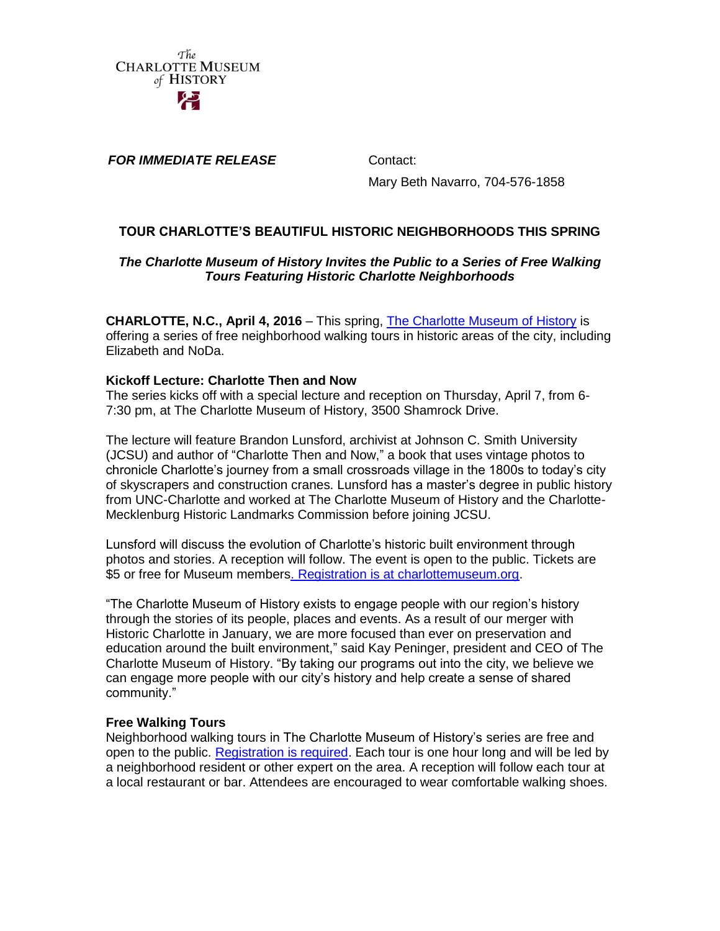

*FOR IMMEDIATE RELEASE* Contact:

Mary Beth Navarro, 704-576-1858

# **TOUR CHARLOTTE'S BEAUTIFUL HISTORIC NEIGHBORHOODS THIS SPRING**

## *The Charlotte Museum of History Invites the Public to a Series of Free Walking Tours Featuring Historic Charlotte Neighborhoods*

**CHARLOTTE, N.C., April 4, 2016** – This spring, [The Charlotte Museum of History](http://charlottemuseum.org/) is offering a series of free neighborhood walking tours in historic areas of the city, including Elizabeth and NoDa.

## **Kickoff Lecture: Charlotte Then and Now**

The series kicks off with a special lecture and reception on Thursday, April 7, from 6- 7:30 pm, at The Charlotte Museum of History, 3500 Shamrock Drive.

The lecture will feature Brandon Lunsford, archivist at Johnson C. Smith University (JCSU) and author of "Charlotte Then and Now," a book that uses vintage photos to chronicle Charlotte's journey from a small crossroads village in the 1800s to today's city of skyscrapers and construction cranes. Lunsford has a master's degree in public history from UNC-Charlotte and worked at The Charlotte Museum of History and the Charlotte-Mecklenburg Historic Landmarks Commission before joining JCSU.

Lunsford will discuss the evolution of Charlotte's historic built environment through photos and stories. A reception will follow. The event is open to the public. Tickets are \$5 or free for Museum member[s. Registration is at charlottemuseum.org.](http://www.charlottemuseum.org/events.asp)

"The Charlotte Museum of History exists to engage people with our region's history through the stories of its people, places and events. As a result of our merger with Historic Charlotte in January, we are more focused than ever on preservation and education around the built environment," said Kay Peninger, president and CEO of The Charlotte Museum of History. "By taking our programs out into the city, we believe we can engage more people with our city's history and help create a sense of shared community."

#### **Free Walking Tours**

Neighborhood walking tours in The Charlotte Museum of History's series are free and open to the public. [Registration is required.](http://www.charlottemuseum.org/events.asp) Each tour is one hour long and will be led by a neighborhood resident or other expert on the area. A reception will follow each tour at a local restaurant or bar. Attendees are encouraged to wear comfortable walking shoes.